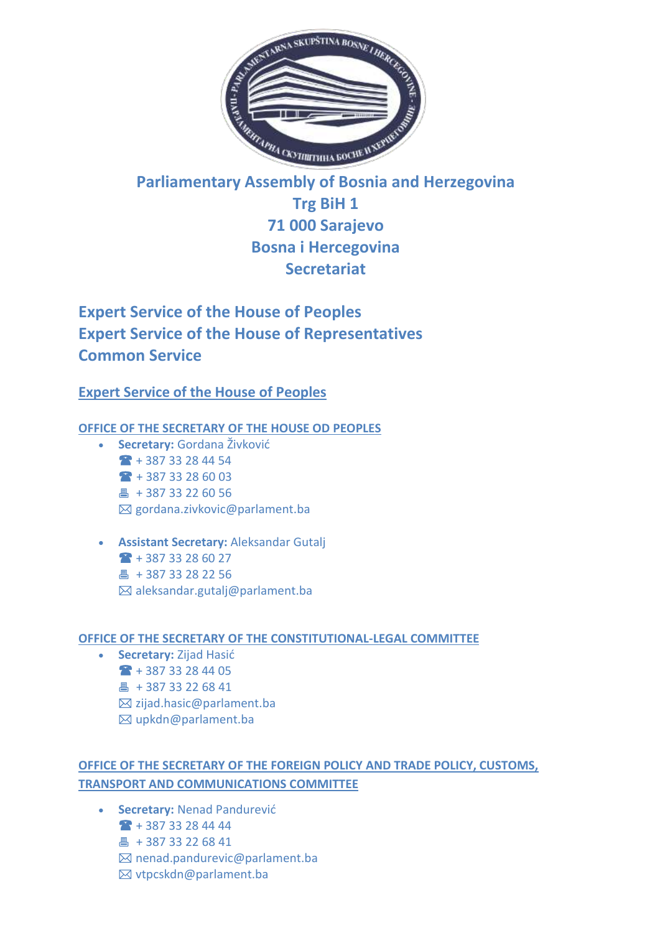

# **Parliamentary Assembly of Bosnia and Herzegovina Trg BiH 1 71 000 Sarajevo Bosna i Hercegovina Secretariat**

# **Expert Service of the House of Peoples Expert Service of the House of Representatives Common Service**

# **Expert Service of the House of Peoples**

# **OFFICE OF THE SECRETARY OF THE HOUSE OD PEOPLES**

- **Secretary:** Gordana Živković  $+ 38733284454$  $+ 387 33 28 60 03$ [+ 387 33 22 60 56](tel:+38733226056)  $\boxtimes$  [gordana.zivkovic@parlament.ba](mailto:gordana.zivkovic@parlament.ba)
- **Assistant Secretary:** Aleksandar Gutalj  $+ 387 33 28 60 27$ 昌 [+ 387 33 28 22 56](tel:+38733226056)  $\boxtimes$  [aleksandar.gutalj@parlament.ba](mailto:aleksandar.gutalj@parlament.ba)

# **OFFICE OF THE SECRETARY OF THE CONSTITUTIONAL-LEGAL COMMITTEE**

- **Secretary:** Zijad Hasić
	- $\bullet$  [+ 387 33 28 44 05](tel:+38733284405)
	- 4 [+ 387 33 22 68 41](tel:+38733226841)
	- $\boxtimes$  [zijad.hasic@parlament.ba](mailto:zijad.hasic@parlament.ba)
	- [upkdn@parlament.ba](mailto:upkdn@parlament.ba)

# **[OFFICE OF THE SECRETARY OF THE FOREIGN POLICY AND TRADE POLICY, CUSTOMS,](https://www.parlament.ba/Content/Read/55?title=O-Stru%C4%8Dnoj-slu%C5%BEbi)  [TRANSPORT AND COMMUNICATIONS COMMITTEE](https://www.parlament.ba/Content/Read/55?title=O-Stru%C4%8Dnoj-slu%C5%BEbi)**

 **Secretary:** Nenad Pandurević [+ 387 33 28 44 44](tel:+38733284444) 昌 [+ 387 33 22 68 41](tel:+38733226841)  $\boxtimes$  [nenad.pandurevic@parlament.ba](mailto:nenad.pandurevic@parlament.ba) [vtpcskdn@parlament.ba](mailto:vtpcskdn@parlament.ba)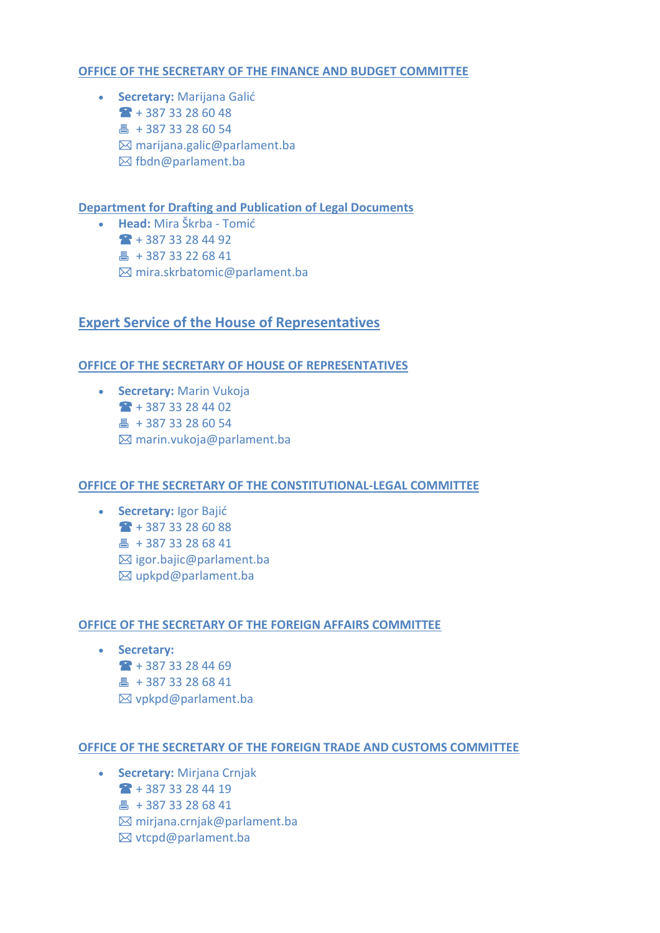# **[OFFICE OF THE SECRETARY OF THE FINANCE AND BUDGET COMMITTEE](https://www.parlament.ba/Content/Read/55?title=O-Stru%C4%8Dnoj-slu%C5%BEbi)**

 **Secretary:** Marijana Galić  $+ 38733286048$  $4 + 38733286054$  $\boxtimes$  marijana.galic@parlament.ba  $\boxtimes$  [fbdn@parlament.ba](http://192.168.12.161:8081/Cms/Html/fbdn@parlament.baa)

**[Department for Drafting and Publication of Legal Documents](https://www.parlament.ba/Content/Read/55?title=O-Stru%C4%8Dnoj-slu%C5%BEbi)**

 **Head:** Mira Škrba - Tomić  $+ 387 33 28 44 92$ 昌 [+ 387 33 22 68 41](tel:+38733226841) [mira.skrbatomic@parlament.ba](mailto:mira.skrbatomic@parlament.ba)

# **Expert Service of the House of Representatives**

# **[OFFICE OF THE SECRETARY OF HOUSE OF REPRESENTATIVES](https://www.parlament.ba/Content/Read/73?title=Stru%C4%8Dnaslu%C5%BEbapredstavni%C4%8Dkogdoma)**

**Secretary: Marin Vukoja**  $+ 387 33 28 44 02$ 4 [+ 387 33 28 60 54](tel:+3873328654)  $\boxtimes$  [marin.vukoja@parlament.ba](mailto:marin.vukoja@parlament.ba)

# **[OFFICE OF THE SECRETARY OF THE CONSTITUTIONAL-LEGAL COMMITTEE](https://www.parlament.ba/Content/Read/73?title=Stru%C4%8Dnaslu%C5%BEbapredstavni%C4%8Dkogdoma)**

 **Secretary:** Igor Bajić  $+ 387 33 28 60 88$ **A** [+ 387 33 28 68 41](tel:+38733286841)  $\boxtimes$  [igor.bajic@parlament.ba](mailto:igor.bajic@parlament.ba) [upkpd@parlament.ba](mailto:upkpd@parlament.ba)

# **[OFFICE OF THE SECRETARY OF THE FOREIGN AFFAIRS COMMITTEE](https://www.parlament.ba/Content/Read/73?title=Stru%C4%8Dnaslu%C5%BEbapredstavni%C4%8Dkogdoma)**

 **Secretary:**  $+ 387 33 28 44 69$ 昌 [+ 387 33 28 68 41](tel:+38733286841)  $\boxtimes$  [vpkpd@parlament.ba](mailto:vpkpd@parlament.ba)

# **[OFFICE OF THE SECRETARY OF THE FOREIGN TRADE AND CUSTOMS COMMITTEE](https://www.parlament.ba/Content/Read/73?title=Stru%C4%8Dnaslu%C5%BEbapredstavni%C4%8Dkogdoma)**

- **Secretary:** Mirjana Crnjak
	- [+ 387 33 28 44 19](tel:+38733284419)
	- 昌 [+ 387 33 28 68 41](tel:+38733286841)
	- [mirjana.crnjak@parlament.ba](mailto:mirjana.crnjak@parlament.ba)
	- [vtcpd@parlament.ba](mailto:vtcpd@parlament.ba)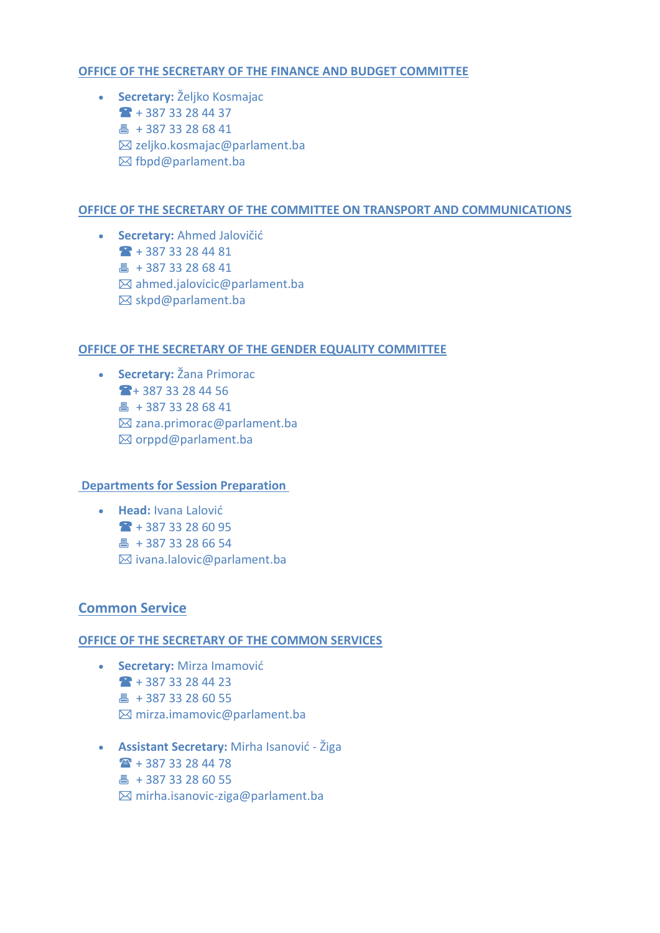# **[OFFICE OF THE SECRETARY OF THE FINANCE AND BUDGET COMMITTEE](https://www.parlament.ba/Content/Read/73?title=Stru%C4%8Dnaslu%C5%BEbapredstavni%C4%8Dkogdoma)**

 **Secretary:** Željko Kosmajac  $+ 387 33 28 44 37$ 4 [+ 387 33 28 68 41](tel:+38733286841)  $\boxtimes$  [zeljko.kosmajac@parlament.ba](mailto:zeljko.kosmajac@parlament.ba)  $\boxtimes$  [fbpd@parlament.ba](mailto:fbpd@parlament.ba)

### **[OFFICE OF THE SECRETARY OF THE COMMITTEE ON TRANSPORT AND COMMUNICATIONS](https://www.parlament.ba/Content/Read/73?title=Stru%C4%8Dnaslu%C5%BEbapredstavni%C4%8Dkogdoma)**

 **Secretary:** Ahmed Jalovičić [+ 387 33 28 44 81](tel:+38733284481) 昌 [+ 387 33 28 68 41](tel:+38733286841)  $\boxtimes$  [ahmed.jalovicic@parlament.ba](mailto:ahmed.jalovicic@parlament.ba)  $\boxtimes$  [skpd@parlament.ba](mailto:skpd@parlament.ba)

### **[OFFICE OF THE SECRETARY OF THE GENDER EQUALITY COMMITTEE](https://www.parlament.ba/Content/Read/73?title=Stru%C4%8Dnaslu%C5%BEbapredstavni%C4%8Dkogdoma)**

 **Secretary:** Žana Primorac [+ 387 33 28 44 56](tel:+38733284456) **4 [+ 387 33 28 68 41](tel:+38733286841)**  [zana.primorac@parlament.ba](mailto:%20zana.primorac@parlament.ba)  $⊠$  [orppd@parlament.ba](mailto:orppd@parlament.ba)

### **[Departments for Session Preparation](http://192.168.12.161:8081/Cms/Html/PagesList)**

 **Head:** Ivana Lalović  $+ 387 33 28 60 95$ 昌 [+ 387 33 28 66 54](tel:+38733226841)  $\boxtimes$  [ivana.lalovic@parlament.ba](mailto:ivana.lalovic@parlament.ba)

# **Common Service**

# **[OFFICE OF THE SECRETARY OF THE COMMON SERVICES](https://www.parlament.ba/Content/Read/201?title=OZajedni%C4%8Dkojslu%C5%BEbi)**

- **Secretary:** Mirza Imamović  $+ 387 33 28 44 23$ 昌 [+ 387 33 28 60 55](tel:+38733286055)  $\boxtimes$  [mirza.imamovic@parlament.ba](mailto:mirza.imamovic@parlament.ba)
- **Assistant Secretary:** Mirha Isanović Žiga  $\rightarrow$  [+ 387 33 28 44 78](tel:+38733284478) 昌 [+ 387 33 28 60 55](tel:+38733286055)  $\boxtimes$  [mirha.isanovic-ziga@parlament.ba](mailto:mirha.isanovic-ziga@parlament.ba)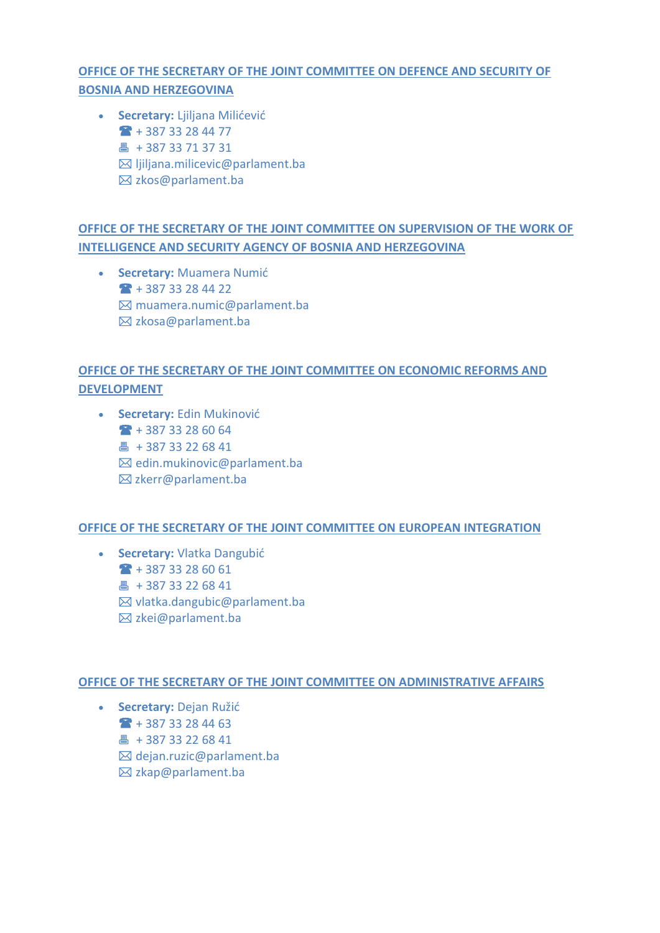# **[OFFICE OF THE SECRETARY OF THE JOINT COMMITTEE ON DEFENCE AND SECURITY OF](https://www.parlament.ba/Content/Read/201?title=OZajedni%C4%8Dkojslu%C5%BEbi)  [BOSNIA AND HERZEGOVINA](https://www.parlament.ba/Content/Read/201?title=OZajedni%C4%8Dkojslu%C5%BEbi)**

 **Secretary:** Ljiljana Milićević  $+ 387 33 28 44 77$ 昌 [+ 387 33 71 37 31](tel:+38733713731)  $\boxtimes$  [ljiljana.milicevic@parlament.ba](mailto:ljiljana.milicevic@parlament.ba)  $\boxtimes$  [zkos@parlament.ba](mailto:zkos@parlament.ba)

# **[OFFICE OF THE SECRETARY OF THE JOINT COMMITTEE ON SUPERVISION OF THE WORK OF](https://www.parlament.ba/Content/Read/201?title=OZajedni%C4%8Dkojslu%C5%BEbi)  [INTELLIGENCE AND SECURITY AGENCY OF BOSNIA AND HERZEGOVINA](https://www.parlament.ba/Content/Read/201?title=OZajedni%C4%8Dkojslu%C5%BEbi)**

 **Secretary:** Muamera Numić  $+ 387 33 28 44 22$  $\boxtimes$  [muamera.numic@parlament.ba](mailto:muamera.numic@parlament.ba) [zkosa@parlament.ba](mailto:zkosa@parlament.ba)

# **[OFFICE OF THE SECRETARY OF THE JOINT COMMITTEE ON ECONOMIC REFORMS AND](https://www.parlament.ba/Content/Read/201?title=OZajedni%C4%8Dkojslu%C5%BEbi)  [DEVELOPMENT](https://www.parlament.ba/Content/Read/201?title=OZajedni%C4%8Dkojslu%C5%BEbi)**

 **Secretary:** Edin Mukinović  $+ 387 33 28 60 64$ 昌 [+ 387 33 22 68 41](tel:+38733226841)  $\boxtimes$  [edin.mukinovic@parlament.ba](mailto:edin.mukinovic@parlament.ba)  $⊠$ **[zkerr@parlament.ba](mailto:%20zkerr@parlament.ba)** 

# **[OFFICE OF THE SECRETARY OF THE JOINT COMMITTEE ON EUROPEAN INTEGRATION](https://www.parlament.ba/Content/Read/201?title=OZajedni%C4%8Dkojslu%C5%BEbi)**

 **Secretary:** Vlatka Dangubić  $+ 387 33 28 60 61$ 昌 [+ 387 33 22 68 41](tel:+38733226841)  $\boxtimes$  [vlatka.dangubic@parlament.ba](mailto:vlatka.dangubic@parlament.ba)  $\boxtimes$  [zkei@parlament.ba](mailto:%20zkei@parlament.ba)

# **[OFFICE OF THE SECRETARY OF THE JOINT COMMITTEE ON ADMINISTRATIVE AFFAIRS](https://www.parlament.ba/Content/Read/201?title=OZajedni%C4%8Dkojslu%C5%BEbi)**

 **Secretary:** Dejan Ružić  $+ 387 33 28 44 63$ 昌 [+ 387 33 22 68 41](tel:+38733226841)  $\boxtimes$  [dejan.ruzic@parlament.ba](mailto:dejan.ruzic@parlament.ba)  $\boxtimes$  [zkap@parlament.ba](mailto:%20zkap@parlament.ba)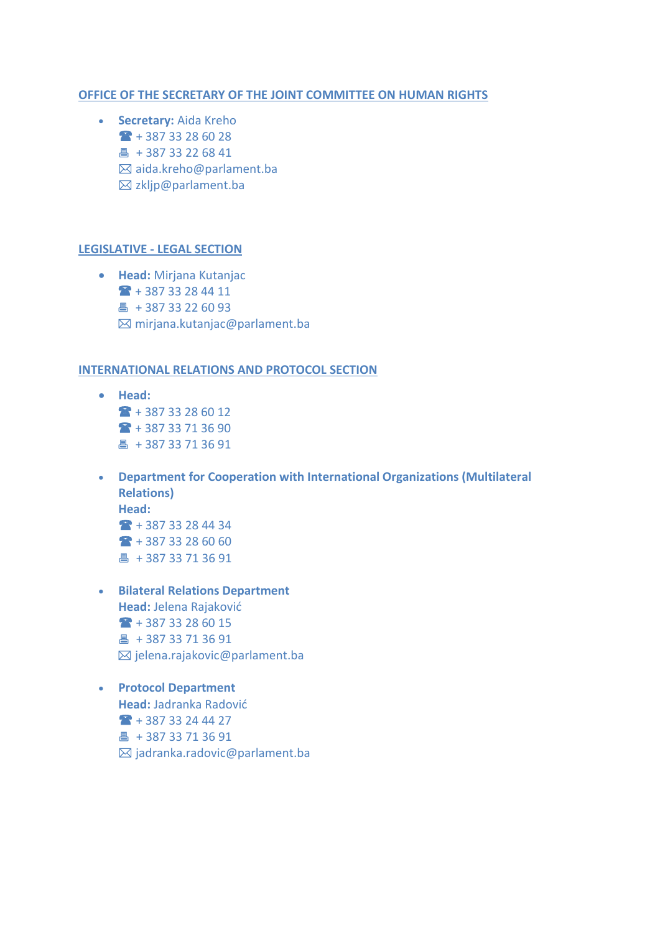#### **[OFFICE OF THE SECRETARY OF THE JOINT COMMITTEE ON HUMAN RIGHTS](https://www.parlament.ba/Content/Read/201?title=OZajedni%C4%8Dkojslu%C5%BEbi)**

 **Secretary:** Aida Kreho  $+ 387 33 28 60 28$ **A** [+ 387 33 22 68 41](tel:+38733226841) aida.kreho@parlament.ba  $\boxtimes$  [zkljp@parlament.ba](mailto:%20zkljp@parlament.ba)

#### **LEGISLATIVE - [LEGAL SECTION](https://www.parlament.ba/Content/Read/201?title=OZajedni%C4%8Dkojslu%C5%BEbi)**

 **Head:** Mirjana Kutanjac [+ 387 33 28 44 11](tel:+38733284411) 昌 [+ 387 33 22 60 93](tel:+38733226093) [mirjana.kutanjac@parlament.ba](mailto:mirjana.kutanjac@parlament.ba)

#### **[INTERNATIONAL RELATIONS AND PROTOCOL](https://www.parlament.ba/Content/Read/201?title=OZajedni%C4%8Dkojslu%C5%BEbi) SECTION**

- **•** Head:  $+ 387 33 28 60 12$  $+ 387 33 71 36 90$ 昌 [+ 387 33 71 36 91](tel:+38733713691)
- **Department for Cooperation with International Organizations (Multilateral Relations) Head:**  $+ 387 33 28 44 34$  $+ 387 33 28 60 60$ 昌 [+ 387 33 71 36 91](tel:+38733713691)
- **Bilateral Relations Department Head:** Jelena Rajaković  $+ 387 33 28 60 15$ 昌 [+ 387 33 71 36 91](tel:+38733713691)  $\boxtimes$  [jelena.rajakovic@parlament.ba](mailto:jelena.rajakovic@parlament.ba)
- **Protocol Department Head:** Jadranka Radović  $+ 387 33 24 44 27$ 昌 [+ 387 33 71 36 91](tel:+38733713691)  $\boxtimes$  [jadranka.radovic@parlament.ba](mailto:jadranka.korac@parlament.ba)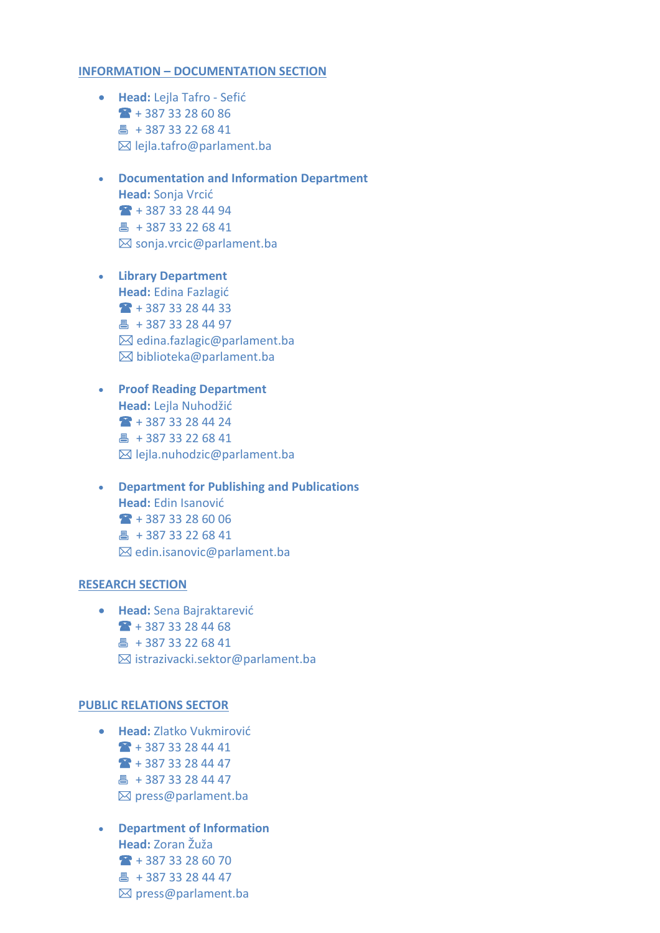#### **INFORMATION – [DOCUMENTATION SECTION](https://www.parlament.ba/Content/Read/201?title=OZajedni%C4%8Dkojslu%C5%BEbi)**

- **Head:** Lejla Tafro Sefić [+ 387 33 28 60 86](tel:+38733286086) **4 [+ 387 33 22 68 41](tel:+38733226841)**  $\boxtimes$  [lejla.tafro@parlament.ba](mailto:lejla.tafro@parlament.ba)
- **Documentation and Information Department Head:** Sonja Vrcić [+ 387 33 28 44 94](tel:+38733284494) [+ 387 33 22 68 41](tel:+38733226841)  $\boxtimes$  [sonja.vrcic@parlament.ba](mailto:sonja.vrcic@parlament.ba)
- **Library Department Head:** Edina Fazlagić  $+ 387 33 28 44 33$ 昌 [+ 387 33 28 44 97](tel:+38733284497)  $\boxtimes$  [edina.fazlagic@parlament.ba](mailto:edina.fazlagic@parlament.ba)  $\boxtimes$  [biblioteka@parlament.ba](mailto:biblioteka@parlament.ba)
- **Proof Reading Department Head:** Lejla Nuhodžić [+ 387 33 28 44 24](tel:+38733284424) 昌 [+ 387 33 22 68 41](tel:+38733226841) [lejla.nuhodzic@parlament.ba](mailto:lejla.nuhodzic@parlament.ba)
- **Department for Publishing and Publications Head:** Edin Isanović  $+ 387 33 28 60 06$ 昌 [+ 387 33 22 68 41](tel:+38733226841)  $\boxtimes$  [edin.isanovic@parlament.ba](mailto:edin.isanovic@parlament.ba)

#### **[RESEARCH SECTION](https://www.parlament.ba/Content/Read/201?title=OZajedni%C4%8Dkojslu%C5%BEbi)**

 **Head:** Sena Bajraktarević  $+ 387 33 28 44 68$ 昌 [+ 387 33 22 68 41](tel:+38733226841) [istrazivacki.sektor@parlament.ba](mailto:istrazivacki.sektor@parlament.ba)

#### **[PUBLIC RELATIONS SECTOR](https://www.parlament.ba/Content/Read/201?title=OZajedni%C4%8Dkojslu%C5%BEbi)**

- **Head:** Zlatko Vukmirović  $\bullet$  [+ 387 33 28 44 41](tel:+38733284441)  $+ 387 33 28 44 47$ 昌 [+ 387 33 28 44 47](tel:+38733284447)  $\boxtimes$  [press@parlament.ba](mailto:press@parlament.ba)
- **Department of Information Head:** Zoran Žuža  $+ 387 33 28 60 70$ 昌 [+ 387 33 28 44 47](tel:+38733284447) [press@parlament.ba](mailto:press@parlament.ba)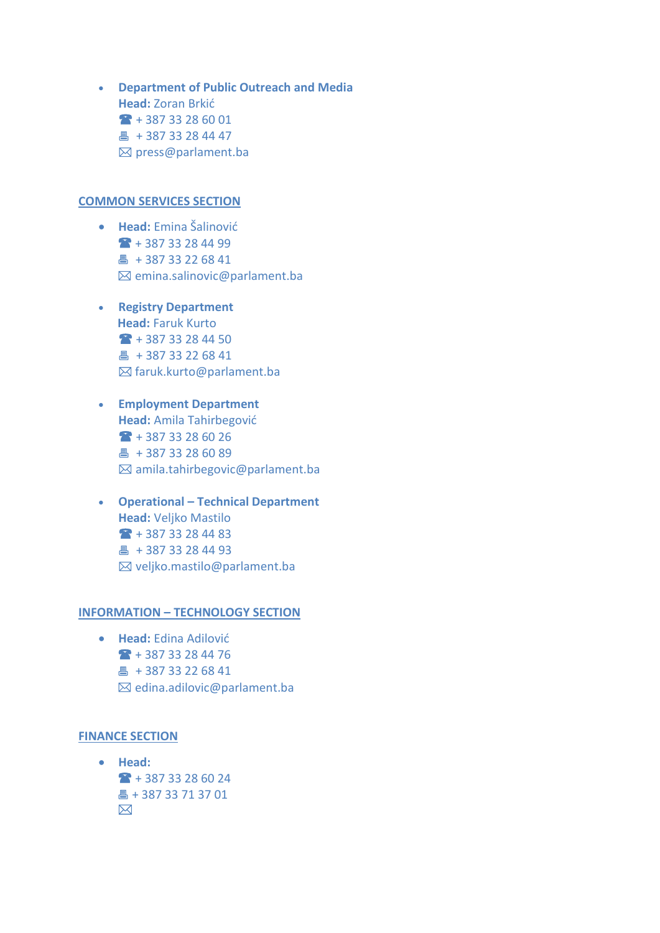**Department of Public Outreach and Media Head:** Zoran Brkić [+ 387 33 28 60](tel:+38733284441) 01 [+ 387 33 28 44 47](tel:+38733284447) [press@parlament.ba](mailto:press@parlament.ba)

#### **[COMMON SERVICES SECTION](https://www.parlament.ba/Content/Read/201?title=OZajedni%C4%8Dkojslu%C5%BEbi)**

- **Head:** Emina Šalinović  $+ 387 33 28 44 99$ 昌 [+ 387 33 22 68 41](tel:+38733226841)  $\boxtimes$  [emina.salinovic@parlament.ba](mailto:emina.salinovic@parlament.ba)
- **Registry Department Head:** Faruk Kurto  $+ 38733284450$ 昌 [+ 387 33 22 68 41](tel:+38733226841) [faruk.kurto@parlament.ba](mailto:faruk.kurto@parlament.ba)
- **Employment Department Head:** Amila Tahirbegović  $+ 387 33 28 60 26$ 昌 [+ 387 33 28 60 89](tel:+38733286089) [amila.tahirbegovic@parlament.ba](mailto:amila.tahirbegovic@parlament.ba)
- **Operational – Technical Department Head:** Veljko Mastilo  $+ 387 33 28 44 83$ 昌 [+ 387 33 28 44 93](tel:+38733284493)  $\boxtimes$  [veljko.mastilo@parlament.ba](mailto:veljko.mastilo@parlament.ba)

#### **INFORMATION – [TECHNOLOGY SECTION](https://www.parlament.ba/Content/Read/201?title=OZajedni%C4%8Dkojslu%C5%BEbi)**

 **Head:** Edina Adilović  $+ 387 33 28 44 76$ 昌 [+ 387 33 22 68 41](tel:+38733226841) [edina.adilovic@parlament.ba](mailto:edina.adilovic@parlament.ba)

#### **[FINANCE SECTION](https://www.parlament.ba/Content/Read/201?title=OZajedni%C4%8Dkojslu%C5%BEbi)**

 **Head:**  $+ 387 33 28 60 24$  [+ 387 33 71 37 01](tel:+38733226093)  $\boxtimes$